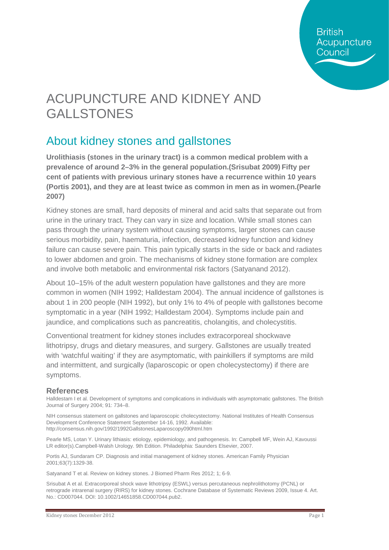**British** Acupuncture Council

# ACUPUNCTURE AND KIDNEY AND GALLSTONES

### About kidney stones and gallstones

**Urolithiasis (stones in the urinary tract) is a common medical problem with a prevalence of around 2–3% in the general population.(Srisubat 2009) Fifty per cent of patients with previous urinary stones have a recurrence within 10 years [\(Portis 2001\)](http://onlinelibrary.wiley.com/doi/10.1002/14651858.CD007044.pub2/full#CD007044-bbs2-0031), and they are at least twice as common in men as in women.[\(Pearle](http://onlinelibrary.wiley.com/doi/10.1002/14651858.CD007044.pub2/full#CD007044-bbs2-0030)  [2007\)](http://onlinelibrary.wiley.com/doi/10.1002/14651858.CD007044.pub2/full#CD007044-bbs2-0030)**

Kidney stones are small, hard deposits of mineral and acid salts that separate out from urine in the urinary tract. They can vary in size and location. While small stones can pass through the urinary system without causing symptoms, larger stones can cause serious morbidity, pain, haematuria, infection, decreased kidney function and kidney failure can cause severe pain. This pain typically starts in the side or back and radiates to lower abdomen and groin. The mechanisms of kidney stone formation are complex and involve both metabolic and environmental risk factors (Satyanand 2012).

About 10–15% of the adult western population have gallstones and they are more common in women (NIH 1992; Halldestam 2004). The annual incidence of gallstones is about 1 in 200 people (NIH 1992), but only 1% to 4% of people with gallstones become symptomatic in a year (NIH 1992; Halldestam 2004). Symptoms include pain and jaundice, and complications such as pancreatitis, cholangitis, and cholecystitis.

Conventional treatment for kidney stones includes extracorporeal shockwave lithotripsy, drugs and dietary measures, and surgery. Gallstones are usually treated with 'watchful waiting' if they are asymptomatic, with painkillers if symptoms are mild and intermittent, and surgically (laparoscopic or open cholecystectomy) if there are symptoms.

#### **References**

Halldestam I et al. Development of symptoms and complications in individuals with asymptomatic gallstones. The British Journal of Surgery 2004; 91: 734–8.

NIH consensus statement on gallstones and laparoscopic cholecystectomy. National Institutes of Health Consensus Development Conference Statement September 14-16, 1992. Available: http://consensus.nih.gov/1992/1992GallstonesLaparoscopy090html.htm

Pearle MS, Lotan Y. Urinary lithiasis: etiology, epidemiology, and pathogenesis. In: Campbell MF, Wein AJ, Kavoussi LR editor(s).Campbell-Walsh Urology. 9th Edition. Philadelphia: Saunders Elsevier, 2007.

Portis AJ, Sundaram CP. Diagnosis and initial management of kidney stones. American Family Physician 2001;63(7):1329-38.

Satyanand T et al. Review on kidney stones. J Biomed Pharm Res 2012; 1; 6-9.

Srisubat A et al. Extracorporeal shock wave lithotripsy (ESWL) versus percutaneous nephrolithotomy (PCNL) or retrograde intrarenal surgery (RIRS) for kidney stones. Cochrane Database of Systematic Reviews 2009, Issue 4. Art. No.: CD007044. DOI: 10.1002/14651858.CD007044.pub2.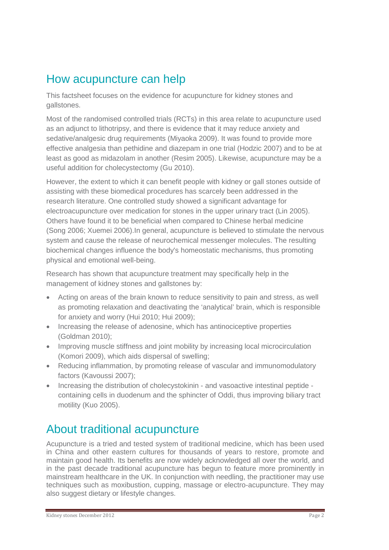### How acupuncture can help

This factsheet focuses on the evidence for acupuncture for kidney stones and gallstones.

Most of the randomised controlled trials (RCTs) in this area relate to acupuncture used as an adjunct to lithotripsy, and there is evidence that it may reduce anxiety and sedative/analgesic drug requirements (Miyaoka 2009). It was found to provide more effective analgesia than pethidine and diazepam in one trial (Hodzic 2007) and to be at least as good as midazolam in another (Resim 2005). Likewise, acupuncture may be a useful addition for cholecystectomy (Gu 2010).

However, the extent to which it can benefit people with kidney or gall stones outside of assisting with these biomedical procedures has scarcely been addressed in the research literature. One controlled study showed a significant advantage for electroacupuncture over medication for stones in the upper urinary tract (Lin 2005). Others have found it to be beneficial when compared to Chinese herbal medicine (Song 2006; Xuemei 2006).In general, acupuncture is believed to stimulate the nervous system and cause the release of neurochemical messenger molecules. The resulting biochemical changes influence the body's homeostatic mechanisms, thus promoting physical and emotional well-being.

Research has shown that acupuncture treatment may specifically help in the management of kidney stones and gallstones by:

- Acting on areas of the brain known to reduce sensitivity to pain and stress, as well as promoting relaxation and deactivating the 'analytical' brain, which is responsible for anxiety and worry (Hui 2010; Hui 2009);
- Increasing the release of adenosine, which has antinociceptive properties (Goldman 2010);
- Improving muscle stiffness and joint mobility by increasing local microcirculation (Komori 2009), which aids dispersal of swelling;
- Reducing inflammation, by promoting release of vascular and immunomodulatory factors (Kavoussi 2007);
- Increasing the distribution of cholecystokinin and vasoactive intestinal peptide containing cells in duodenum and the sphincter of Oddi, thus improving biliary tract motility (Kuo 2005).

### About traditional acupuncture

Acupuncture is a tried and tested system of traditional medicine, which has been used in China and other eastern cultures for thousands of years to restore, promote and maintain good health. Its benefits are now widely acknowledged all over the world, and in the past decade traditional acupuncture has begun to feature more prominently in mainstream healthcare in the UK. In conjunction with needling, the practitioner may use techniques such as moxibustion, cupping, massage or electro-acupuncture. They may also suggest dietary or lifestyle changes.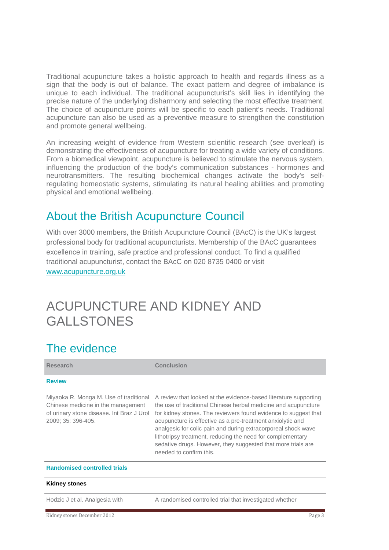Traditional acupuncture takes a holistic approach to health and regards illness as a sign that the body is out of balance. The exact pattern and degree of imbalance is unique to each individual. The traditional acupuncturist's skill lies in identifying the precise nature of the underlying disharmony and selecting the most effective treatment. The choice of acupuncture points will be specific to each patient's needs. Traditional acupuncture can also be used as a preventive measure to strengthen the constitution and promote general wellbeing.

An increasing weight of evidence from Western scientific research (see overleaf) is demonstrating the effectiveness of acupuncture for treating a wide variety of conditions. From a biomedical viewpoint, acupuncture is believed to stimulate the nervous system, influencing the production of the body's communication substances - hormones and neurotransmitters. The resulting biochemical changes activate the body's selfregulating homeostatic systems, stimulating its natural healing abilities and promoting physical and emotional wellbeing.

#### About the British Acupuncture Council

With over 3000 members, the British Acupuncture Council (BAcC) is the UK's largest professional body for traditional acupuncturists. Membership of the BAcC guarantees excellence in training, safe practice and professional conduct. To find a qualified traditional acupuncturist, contact the BAcC on 020 8735 0400 or visit [www.acupuncture.org.uk](http://www.acupuncture.org.uk/)

## ACUPUNCTURE AND KIDNEY AND GALLSTONES

### The evidence

| <b>Research</b>                                                                                                                                 | <b>Conclusion</b>                                                                                                                                                                                                                                                                                                                                                                                                                                                                             |
|-------------------------------------------------------------------------------------------------------------------------------------------------|-----------------------------------------------------------------------------------------------------------------------------------------------------------------------------------------------------------------------------------------------------------------------------------------------------------------------------------------------------------------------------------------------------------------------------------------------------------------------------------------------|
| <b>Review</b>                                                                                                                                   |                                                                                                                                                                                                                                                                                                                                                                                                                                                                                               |
| Miyaoka R, Monga M. Use of traditional<br>Chinese medicine in the management<br>of urinary stone disease. Int Braz J Urol<br>2009; 35: 396-405. | A review that looked at the evidence-based literature supporting<br>the use of traditional Chinese herbal medicine and acupuncture<br>for kidney stones. The reviewers found evidence to suggest that<br>acupuncture is effective as a pre-treatment anxiolytic and<br>analgesic for colic pain and during extracorporeal shock wave<br>lithotripsy treatment, reducing the need for complementary<br>sedative drugs. However, they suggested that more trials are<br>needed to confirm this. |
| <b>Randomised controlled trials</b>                                                                                                             |                                                                                                                                                                                                                                                                                                                                                                                                                                                                                               |
| <b>Kidney stones</b>                                                                                                                            |                                                                                                                                                                                                                                                                                                                                                                                                                                                                                               |
| Hodzic J et al. Analgesia with                                                                                                                  | A randomised controlled trial that investigated whether                                                                                                                                                                                                                                                                                                                                                                                                                                       |
| Kidney stones December 2012                                                                                                                     | Page 3                                                                                                                                                                                                                                                                                                                                                                                                                                                                                        |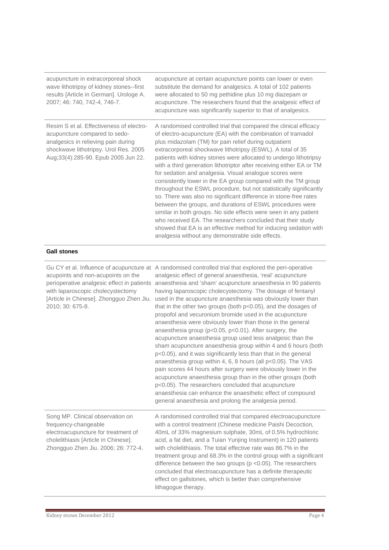| acupuncture in extracorporeal shock<br>wave lithotripsy of kidney stones--first<br>results [Article in German]. Urologe A.<br>2007; 46: 740, 742-4, 746-7.                                       | acupuncture at certain acupuncture points can lower or even<br>substitute the demand for analgesics. A total of 102 patients<br>were allocated to 50 mg pethidine plus 10 mg diazepam or<br>acupuncture. The researchers found that the analgesic effect of<br>acupuncture was significantly superior to that of analgesics.                                                                                                                                                                                                                                                                                                                                                                                                                                                                                                                                                                                                                                                                        |
|--------------------------------------------------------------------------------------------------------------------------------------------------------------------------------------------------|-----------------------------------------------------------------------------------------------------------------------------------------------------------------------------------------------------------------------------------------------------------------------------------------------------------------------------------------------------------------------------------------------------------------------------------------------------------------------------------------------------------------------------------------------------------------------------------------------------------------------------------------------------------------------------------------------------------------------------------------------------------------------------------------------------------------------------------------------------------------------------------------------------------------------------------------------------------------------------------------------------|
| Resim S et al. Effectiveness of electro-<br>acupuncture compared to sedo-<br>analgesics in relieving pain during<br>shockwave lithotripsy. Urol Res. 2005<br>Aug;33(4):285-90. Epub 2005 Jun 22. | A randomised controlled trial that compared the clinical efficacy<br>of electro-acupuncture (EA) with the combination of tramadol<br>plus midazolam (TM) for pain relief during outpatient<br>extracorporeal shockwave lithotripsy (ESWL). A total of 35<br>patients with kidney stones were allocated to undergo lithotripsy<br>with a third generation lithotriptor after receiving either EA or TM<br>for sedation and analgesia. Visual analogue scores were<br>consistently lower in the EA group compared with the TM group<br>throughout the ESWL procedure, but not statistically significantly<br>so. There was also no significant difference in stone-free rates<br>between the groups, and durations of ESWL procedures were<br>similar in both groups. No side effects were seen in any patient<br>who received EA. The researchers concluded that their study<br>showed that EA is an effective method for inducing sedation with<br>analgesia without any demonstrable side effects. |

#### **Gall stones**

| acupoints and non-acupoints on the<br>perioperative analgesic effect in patients<br>with laparoscopic cholecystectomy<br>[Article in Chinese]. Zhongguo Zhen Jiu.<br>2010; 30: 675-8. | Gu CY et al. Influence of acupuncture at A randomised controlled trial that explored the peri-operative<br>analgesic effect of general anaesthesia, 'real' acupuncture<br>anaesthesia and 'sham' acupuncture anaesthesia in 90 patients<br>having laparoscopic cholecystectomy. The dosage of fentanyl<br>used in the acupuncture anaesthesia was obviously lower than<br>that in the other two groups (both $p<0.05$ ), and the dosages of<br>propofol and vecuronium bromide used in the acupuncture<br>anaesthesia were obviously lower than those in the general<br>anaesthesia group ( $p<0.05$ , $p<0.01$ ). After surgery, the<br>acupuncture anaesthesia group used less analgesic than the<br>sham acupuncture anaesthesia group within 4 and 6 hours (both<br>p<0.05), and it was significantly less than that in the general<br>anaesthesia group within 4, 6, 8 hours (all $p<0.05$ ). The VAS<br>pain scores 44 hours after surgery were obviously lower in the<br>acupuncture anaesthesia group than in the other groups (both<br>p<0.05). The researchers concluded that acupuncture<br>anaesthesia can enhance the anaesthetic effect of compound<br>general anaesthesia and prolong the analgesia period. |
|---------------------------------------------------------------------------------------------------------------------------------------------------------------------------------------|----------------------------------------------------------------------------------------------------------------------------------------------------------------------------------------------------------------------------------------------------------------------------------------------------------------------------------------------------------------------------------------------------------------------------------------------------------------------------------------------------------------------------------------------------------------------------------------------------------------------------------------------------------------------------------------------------------------------------------------------------------------------------------------------------------------------------------------------------------------------------------------------------------------------------------------------------------------------------------------------------------------------------------------------------------------------------------------------------------------------------------------------------------------------------------------------------------------------------|
| Song MP. Clinical observation on<br>frequency-changeable<br>electroacupuncture for treatment of<br>cholelithiasis [Article in Chinese].<br>Zhongguo Zhen Jiu. 2006; 26: 772-4.        | A randomised controlled trial that compared electroacupuncture<br>with a control treatment (Chinese medicine Paishi Decoction,<br>40mL of 33% magnesium sulphate, 30mL of 0.5% hydrochloric<br>acid, a fat diet, and a Tuian Yunjing Instrument) in 120 patients<br>with cholelithiasis. The total effective rate was 86.7% in the<br>treatment group and 68.3% in the control group with a significant<br>difference between the two groups ( $p$ <0.05). The researchers<br>concluded that electroacupuncture has a definite therapeutic<br>effect on gallstones, which is better than comprehensive<br>lithagogue therapy.                                                                                                                                                                                                                                                                                                                                                                                                                                                                                                                                                                                              |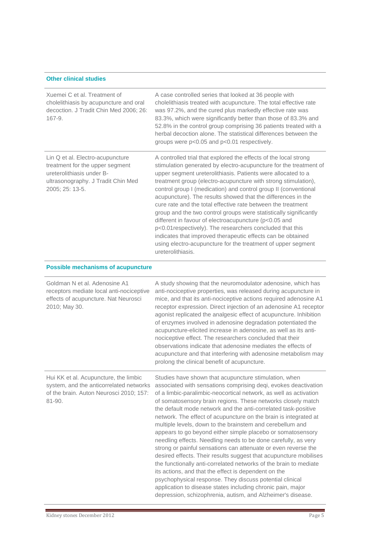#### **Other clinical studies**

| Xuemei C et al. Treatment of<br>cholelithiasis by acupuncture and oral<br>decoction. J Tradit Chin Med 2006; 26:<br>$167 - 9.$                            | A case controlled series that looked at 36 people with<br>cholelithiasis treated with acupuncture. The total effective rate<br>was 97.2%, and the cured plus markedly effective rate was<br>83.3%, which were significantly better than those of 83.3% and<br>52.8% in the control group comprising 36 patients treated with a<br>herbal decoction alone. The statistical differences between the<br>groups were p<0.05 and p<0.01 respectively.                                                                                                                                                                                                                                                                                                                                                                                                                                                                                                                                                                                                                |
|-----------------------------------------------------------------------------------------------------------------------------------------------------------|-----------------------------------------------------------------------------------------------------------------------------------------------------------------------------------------------------------------------------------------------------------------------------------------------------------------------------------------------------------------------------------------------------------------------------------------------------------------------------------------------------------------------------------------------------------------------------------------------------------------------------------------------------------------------------------------------------------------------------------------------------------------------------------------------------------------------------------------------------------------------------------------------------------------------------------------------------------------------------------------------------------------------------------------------------------------|
| Lin Q et al. Electro-acupuncture<br>treatment for the upper segment<br>ureterolithiasis under B-<br>ultrasonography. J Tradit Chin Med<br>2005; 25: 13-5. | A controlled trial that explored the effects of the local strong<br>stimulation generated by electro-acupuncture for the treatment of<br>upper segment ureterolithiasis. Patients were allocated to a<br>treatment group (electro-acupuncture with strong stimulation),<br>control group I (medication) and control group II (conventional<br>acupuncture). The results showed that the differences in the<br>cure rate and the total effective rate between the treatment<br>group and the two control groups were statistically significantly<br>different in favour of electroacupuncture (p<0.05 and<br>p<0.01respectively). The researchers concluded that this<br>indicates that improved therapeutic effects can be obtained<br>using electro-acupuncture for the treatment of upper segment<br>ureterolithiasis.                                                                                                                                                                                                                                        |
| <b>Possible mechanisms of acupuncture</b>                                                                                                                 |                                                                                                                                                                                                                                                                                                                                                                                                                                                                                                                                                                                                                                                                                                                                                                                                                                                                                                                                                                                                                                                                 |
| Goldman N et al. Adenosine A1<br>receptors mediate local anti-nociceptive<br>effects of acupuncture. Nat Neurosci<br>2010; May 30.                        | A study showing that the neuromodulator adenosine, which has<br>anti-nociceptive properties, was released during acupuncture in<br>mice, and that its anti-nociceptive actions required adenosine A1<br>receptor expression. Direct injection of an adenosine A1 receptor<br>agonist replicated the analgesic effect of acupuncture. Inhibition<br>of enzymes involved in adenosine degradation potentiated the<br>acupuncture-elicited increase in adenosine, as well as its anti-<br>nociceptive effect. The researchers concluded that their<br>observations indicate that adenosine mediates the effects of<br>acupuncture and that interfering with adenosine metabolism may<br>prolong the clinical benefit of acupuncture.                                                                                                                                                                                                                                                                                                                               |
| Hui KK et al. Acupuncture, the limbic<br>system, and the anticorrelated networks<br>of the brain. Auton Neurosci 2010; 157:<br>81-90.                     | Studies have shown that acupuncture stimulation, when<br>associated with sensations comprising deqi, evokes deactivation<br>of a limbic-paralimbic-neocortical network, as well as activation<br>of somatosensory brain regions. These networks closely match<br>the default mode network and the anti-correlated task-positive<br>network. The effect of acupuncture on the brain is integrated at<br>multiple levels, down to the brainstem and cerebellum and<br>appears to go beyond either simple placebo or somatosensory<br>needling effects. Needling needs to be done carefully, as very<br>strong or painful sensations can attenuate or even reverse the<br>desired effects. Their results suggest that acupuncture mobilises<br>the functionally anti-correlated networks of the brain to mediate<br>its actions, and that the effect is dependent on the<br>psychophysical response. They discuss potential clinical<br>application to disease states including chronic pain, major<br>depression, schizophrenia, autism, and Alzheimer's disease. |